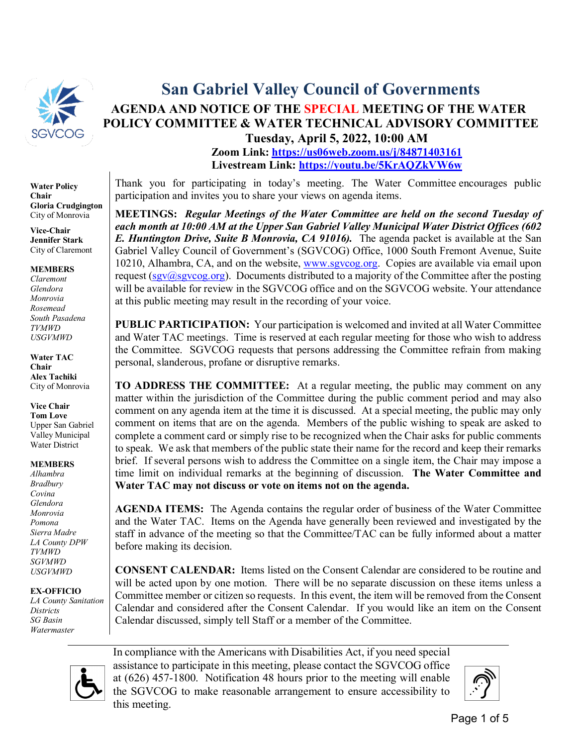

**Water Policy Chair Gloria Crudgington** City of Monrovia

**Vice-Chair Jennifer Stark** City of Claremont

**MEMBERS**

*Claremont Glendora Monrovia Rosemead South Pasadena TVMWD USGVMWD*

**Water TAC Chair Alex Tachiki** City of Monrovia

**Vice Chair Tom Love** Upper San Gabriel Valley Municipal Water District

**MEMBERS**

*Alhambra Bradbury Covina Glendora Monrovia Pomona Sierra Madre LA County DPW TVMWD SGVMWD USGVMWD*

#### **EX-OFFICIO**

*LA County Sanitation Districts SG Basin Watermaster*

# **San Gabriel Valley Council of Governments AGENDA AND NOTICE OF THE SPECIAL MEETING OF THE WATER POLICY COMMITTEE & WATER TECHNICAL ADVISORY COMMITTEE**

**Tuesday, April 5, 2022, 10:00 AM Zoom Link: <https://us06web.zoom.us/j/84871403161> Livestream Link: <https://youtu.be/5KrAQZkVW6w>**

Thank you for participating in today's meeting. The Water Committee encourages public participation and invites you to share your views on agenda items.

**MEETINGS:** *Regular Meetings of the Water Committee are held on the second Tuesday of each month at 10:00 AM at the Upper San Gabriel Valley Municipal Water District Offices (602 E. Huntington Drive, Suite B Monrovia, CA 91016).* The agenda packet is available at the San Gabriel Valley Council of Government's (SGVCOG) Office, 1000 South Fremont Avenue, Suite 10210, Alhambra, CA, and on the website, [www.sgvcog.org.](http://www.sgvcog.org/) Copies are available via email upon request (sgv $(a)$ sgvcog.org). Documents distributed to a majority of the Committee after the posting will be available for review in the SGVCOG office and on the SGVCOG website. Your attendance at this public meeting may result in the recording of your voice.

**PUBLIC PARTICIPATION:** Your participation is welcomed and invited at all Water Committee and Water TAC meetings. Time is reserved at each regular meeting for those who wish to address the Committee. SGVCOG requests that persons addressing the Committee refrain from making personal, slanderous, profane or disruptive remarks.

**TO ADDRESS THE COMMITTEE:** At a regular meeting, the public may comment on any matter within the jurisdiction of the Committee during the public comment period and may also comment on any agenda item at the time it is discussed. At a special meeting, the public may only comment on items that are on the agenda. Members of the public wishing to speak are asked to complete a comment card or simply rise to be recognized when the Chair asks for public comments to speak. We ask that members of the public state their name for the record and keep their remarks brief. If several persons wish to address the Committee on a single item, the Chair may impose a time limit on individual remarks at the beginning of discussion. **The Water Committee and Water TAC may not discuss or vote on items not on the agenda.** 

**AGENDA ITEMS:** The Agenda contains the regular order of business of the Water Committee and the Water TAC. Items on the Agenda have generally been reviewed and investigated by the staff in advance of the meeting so that the Committee/TAC can be fully informed about a matter before making its decision.

**CONSENT CALENDAR:** Items listed on the Consent Calendar are considered to be routine and will be acted upon by one motion. There will be no separate discussion on these items unless a Committee member or citizen so requests. In this event, the item will be removed from the Consent Calendar and considered after the Consent Calendar. If you would like an item on the Consent Calendar discussed, simply tell Staff or a member of the Committee.



In compliance with the Americans with Disabilities Act, if you need special assistance to participate in this meeting, please contact the SGVCOG office at (626) 457-1800. Notification 48 hours prior to the meeting will enable the SGVCOG to make reasonable arrangement to ensure accessibility to this meeting.

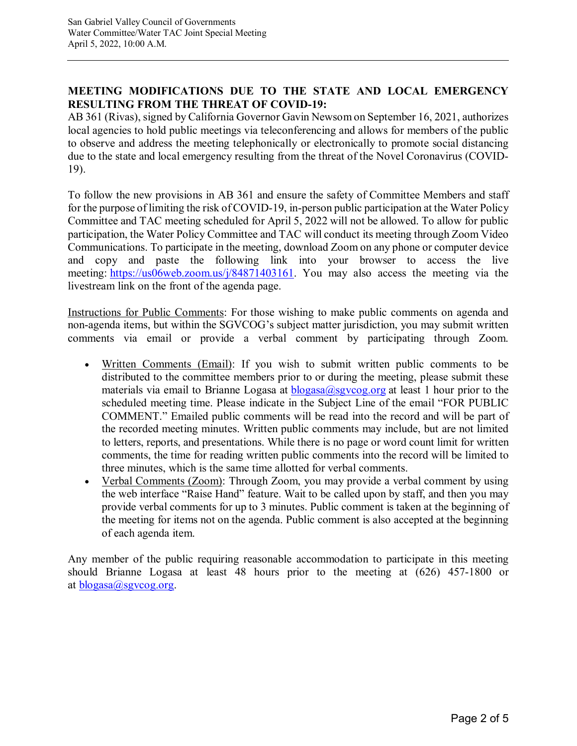#### **MEETING MODIFICATIONS DUE TO THE STATE AND LOCAL EMERGENCY RESULTING FROM THE THREAT OF COVID-19:**

AB 361 (Rivas), signed by California Governor Gavin Newsom on September 16, 2021, authorizes local agencies to hold public meetings via teleconferencing and allows for members of the public to observe and address the meeting telephonically or electronically to promote social distancing due to the state and local emergency resulting from the threat of the Novel Coronavirus (COVID-19).

To follow the new provisions in AB 361 and ensure the safety of Committee Members and staff for the purpose of limiting the risk of COVID-19, in-person public participation at the Water Policy Committee and TAC meeting scheduled for April 5, 2022 will not be allowed. To allow for public participation, the Water Policy Committee and TAC will conduct its meeting through Zoom Video Communications. To participate in the meeting, download Zoom on any phone or computer device and copy and paste the following link into your browser to access the live meeting: [https://us06web.zoom.us/j/84871403161.](https://us06web.zoom.us/j/84871403161) You may also access the meeting via the livestream link on the front of the agenda page.

Instructions for Public Comments: For those wishing to make public comments on agenda and non-agenda items, but within the SGVCOG's subject matter jurisdiction, you may submit written comments via email or provide a verbal comment by participating through Zoom.

- Written Comments (Email): If you wish to submit written public comments to be distributed to the committee members prior to or during the meeting, please submit these materials via email to Brianne Logasa at  $b \log \alpha \log \log \log \alpha$  at least 1 hour prior to the scheduled meeting time. Please indicate in the Subject Line of the email "FOR PUBLIC COMMENT." Emailed public comments will be read into the record and will be part of the recorded meeting minutes. Written public comments may include, but are not limited to letters, reports, and presentations. While there is no page or word count limit for written comments, the time for reading written public comments into the record will be limited to three minutes, which is the same time allotted for verbal comments.
- Verbal Comments (Zoom): Through Zoom, you may provide a verbal comment by using the web interface "Raise Hand" feature. Wait to be called upon by staff, and then you may provide verbal comments for up to 3 minutes. Public comment is taken at the beginning of the meeting for items not on the agenda. Public comment is also accepted at the beginning of each agenda item.

Any member of the public requiring reasonable accommodation to participate in this meeting should Brianne Logasa at least 48 hours prior to the meeting at (626) 457-1800 or at  $blogasa(a)$ sgvcog.org.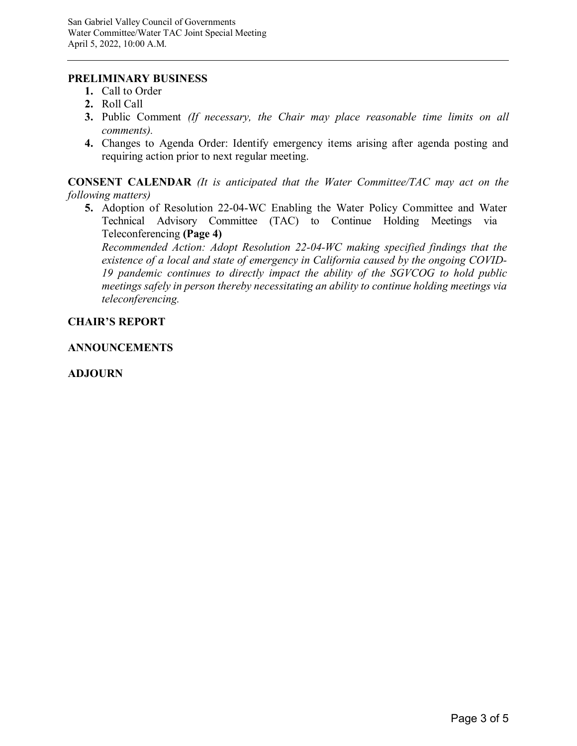#### **PRELIMINARY BUSINESS**

- **1.** Call to Order
- **2.** Roll Call
- **3.** Public Comment *(If necessary, the Chair may place reasonable time limits on all comments).*
- **4.** Changes to Agenda Order: Identify emergency items arising after agenda posting and requiring action prior to next regular meeting.

**CONSENT CALENDAR** *(It is anticipated that the Water Committee/TAC may act on the following matters)*

**5.** Adoption of Resolution 22-04-WC Enabling the Water Policy Committee and Water Technical Advisory Committee (TAC) to Continue Holding Meetings via Teleconferencing **(Page 4)**

*[Recommended Action: Adopt Resolution 22-04-WC making specified findings that the](#page-3-0) existence of a local and state of emergency in California caused by the ongoing COVID-19 pandemic continues to directly impact the ability of the SGVCOG to hold public meetings safely in person thereby necessitating an ability to continue holding meetings via teleconferencing.*

#### **CHAIR'S REPORT**

#### **ANNOUNCEMENTS**

#### **ADJOURN**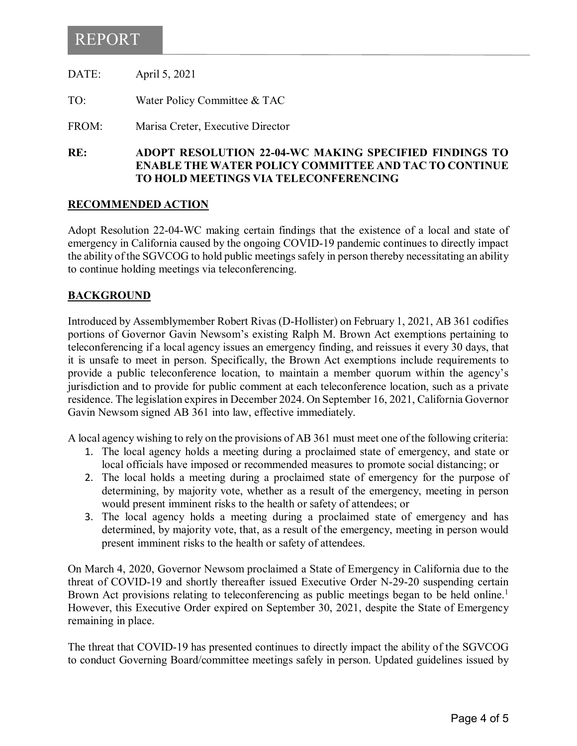### <span id="page-3-0"></span>REPORT

DATE: April 5, 2021

TO: Water Policy Committee & TAC

FROM: Marisa Creter, Executive Director

**RE: ADOPT RESOLUTION 22-04-WC MAKING SPECIFIED FINDINGS TO ENABLE THE WATER POLICY COMMITTEE AND TAC TO CONTINUE TO HOLD MEETINGS VIA TELECONFERENCING**

#### **RECOMMENDED ACTION**

Adopt Resolution 22-04-WC making certain findings that the existence of a local and state of emergency in California caused by the ongoing COVID-19 pandemic continues to directly impact the ability of the SGVCOG to hold public meetings safely in person thereby necessitating an ability to continue holding meetings via teleconferencing.

#### **BACKGROUND**

Introduced by Assemblymember Robert Rivas (D-Hollister) on February 1, 2021, AB 361 codifies portions of Governor Gavin Newsom's existing Ralph M. Brown Act exemptions pertaining to teleconferencing if a local agency issues an emergency finding, and reissues it every 30 days, that it is unsafe to meet in person. Specifically, the Brown Act exemptions include requirements to provide a public teleconference location, to maintain a member quorum within the agency's jurisdiction and to provide for public comment at each teleconference location, such as a private residence. The legislation expires in December 2024. On September 16, 2021, California Governor Gavin Newsom signed AB 361 into law, effective immediately.

A local agency wishing to rely on the provisions of AB 361 must meet one of the following criteria:

- 1. The local agency holds a meeting during a proclaimed state of emergency, and state or local officials have imposed or recommended measures to promote social distancing; or
- 2. The local holds a meeting during a proclaimed state of emergency for the purpose of determining, by majority vote, whether as a result of the emergency, meeting in person would present imminent risks to the health or safety of attendees; or
- 3. The local agency holds a meeting during a proclaimed state of emergency and has determined, by majority vote, that, as a result of the emergency, meeting in person would present imminent risks to the health or safety of attendees.

On March 4, 2020, Governor Newsom proclaimed a State of Emergency in California due to the threat of COVID-19 and shortly thereafter issued Executive Order N-29-20 suspending certain Brown Act provisions relating to teleconferencing as public meetings began to be held online.<sup>1</sup> However, this Executive Order expired on September 30, 2021, despite the State of Emergency remaining in place.

The threat that COVID-19 has presented continues to directly impact the ability of the SGVCOG to conduct Governing Board/committee meetings safely in person. Updated guidelines issued by